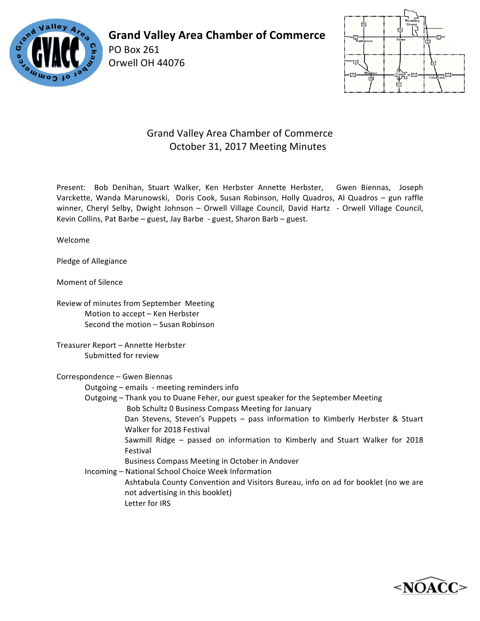

**Grand Valley Area Chamber of Commerce**

Orwell OH 44076

PO Box 261



## Grand Valley Area Chamber of Commerce October 31, 2017 Meeting Minutes

Present: Bob Denihan, Stuart Walker, Ken Herbster Annette Herbster, Gwen Biennas, Joseph Varckette, Wanda Marunowski, Doris Cook, Susan Robinson, Holly Quadros, Al Quadros - gun raffle winner, Cheryl Selby, Dwight Johnson - Orwell Village Council, David Hartz - Orwell Village Council, Kevin Collins, Pat Barbe – guest, Jay Barbe - guest, Sharon Barb – guest.

Welcome

Pledge of Allegiance

Moment of Silence

Review of minutes from September Meeting Motion to accept - Ken Herbster Second the motion - Susan Robinson

Treasurer Report - Annette Herbster Submitted for review

Correspondence - Gwen Biennas

Outgoing – emails - meeting reminders info

Outgoing – Thank you to Duane Feher, our guest speaker for the September Meeting Bob Schultz 0 Business Compass Meeting for January Dan Stevens, Steven's Puppets - pass information to Kimberly Herbster & Stuart Walker for 2018 Festival

Sawmill Ridge – passed on information to Kimberly and Stuart Walker for 2018 Festival

Business Compass Meeting in October in Andover

Incoming - National School Choice Week Information Ashtabula County Convention and Visitors Bureau, info on ad for booklet (no we are not advertising in this booklet)

Letter for IRS

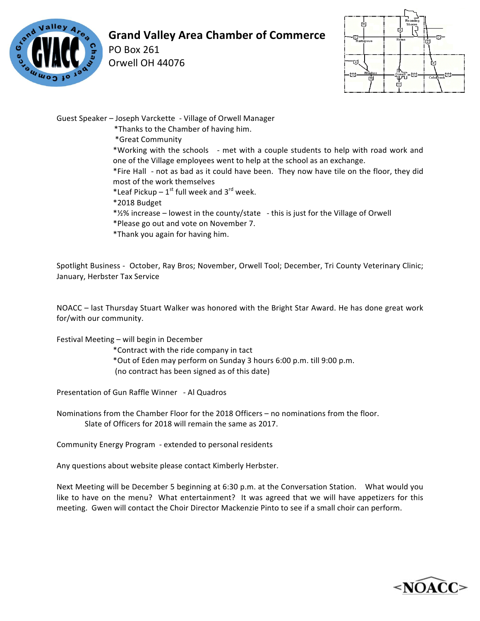

## **Grand Valley Area Chamber of Commerce**

PO Box 261 Orwell OH 44076



Guest Speaker - Joseph Varckette - Village of Orwell Manager

\*Thanks to the Chamber of having him.

\*Great Community

\*Working with the schools - met with a couple students to help with road work and one of the Village employees went to help at the school as an exchange.

\*Fire Hall - not as bad as it could have been. They now have tile on the floor, they did most of the work themselves

- \*Leaf Pickup  $1^{st}$  full week and  $3^{rd}$  week.
- \*2018 Budget
- $*2\%$  increase lowest in the county/state this is just for the Village of Orwell
- \*Please go out and vote on November 7.
- \*Thank you again for having him.

Spotlight Business - October, Ray Bros; November, Orwell Tool; December, Tri County Veterinary Clinic; January, Herbster Tax Service

NOACC – last Thursday Stuart Walker was honored with the Bright Star Award. He has done great work for/with our community.

Festival Meeting – will begin in December

\*Contract with the ride company in tact

\*Out of Eden may perform on Sunday 3 hours 6:00 p.m. till 9:00 p.m.

(no contract has been signed as of this date)

Presentation of Gun Raffle Winner - Al Quadros

Nominations from the Chamber Floor for the 2018 Officers – no nominations from the floor. Slate of Officers for 2018 will remain the same as 2017.

Community Energy Program - extended to personal residents

Any questions about website please contact Kimberly Herbster.

Next Meeting will be December 5 beginning at 6:30 p.m. at the Conversation Station. What would you like to have on the menu? What entertainment? It was agreed that we will have appetizers for this meeting. Gwen will contact the Choir Director Mackenzie Pinto to see if a small choir can perform.